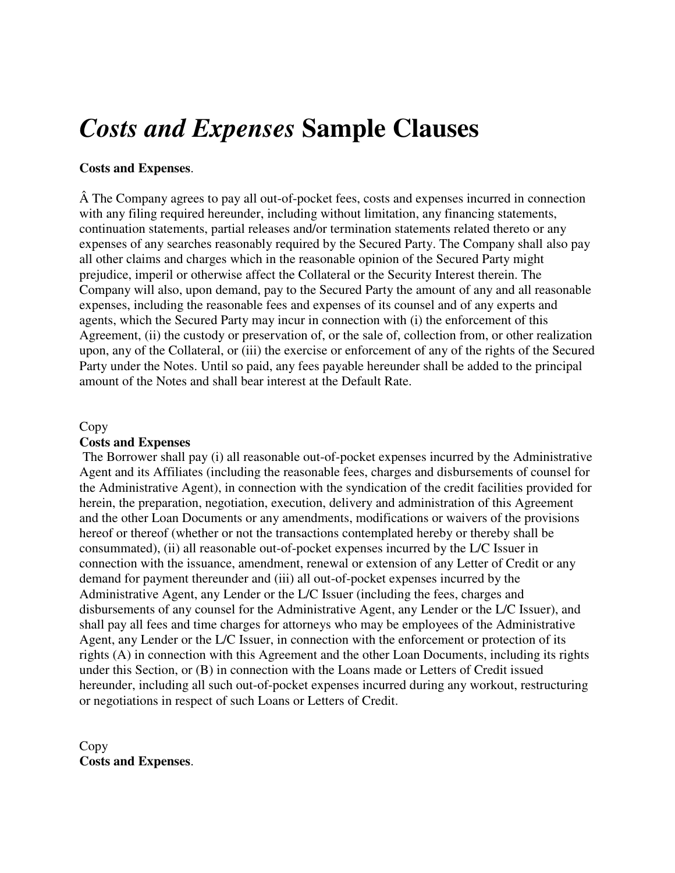# *Costs and Expenses* **Sample Clauses**

# **Costs and Expenses**.

 The Company agrees to pay all out-of-pocket fees, costs and expenses incurred in connection with any filing required hereunder, including without limitation, any financing statements, continuation statements, partial releases and/or termination statements related thereto or any expenses of any searches reasonably required by the Secured Party. The Company shall also pay all other claims and charges which in the reasonable opinion of the Secured Party might prejudice, imperil or otherwise affect the Collateral or the Security Interest therein. The Company will also, upon demand, pay to the Secured Party the amount of any and all reasonable expenses, including the reasonable fees and expenses of its counsel and of any experts and agents, which the Secured Party may incur in connection with (i) the enforcement of this Agreement, (ii) the custody or preservation of, or the sale of, collection from, or other realization upon, any of the Collateral, or (iii) the exercise or enforcement of any of the rights of the Secured Party under the Notes. Until so paid, any fees payable hereunder shall be added to the principal amount of the Notes and shall bear interest at the Default Rate.

## Copy

# **Costs and Expenses**

 The Borrower shall pay (i) all reasonable out-of-pocket expenses incurred by the Administrative Agent and its Affiliates (including the reasonable fees, charges and disbursements of counsel for the Administrative Agent), in connection with the syndication of the credit facilities provided for herein, the preparation, negotiation, execution, delivery and administration of this Agreement and the other Loan Documents or any amendments, modifications or waivers of the provisions hereof or thereof (whether or not the transactions contemplated hereby or thereby shall be consummated), (ii) all reasonable out-of-pocket expenses incurred by the L/C Issuer in connection with the issuance, amendment, renewal or extension of any Letter of Credit or any demand for payment thereunder and (iii) all out-of-pocket expenses incurred by the Administrative Agent, any Lender or the L/C Issuer (including the fees, charges and disbursements of any counsel for the Administrative Agent, any Lender or the L/C Issuer), and shall pay all fees and time charges for attorneys who may be employees of the Administrative Agent, any Lender or the L/C Issuer, in connection with the enforcement or protection of its rights (A) in connection with this Agreement and the other Loan Documents, including its rights under this Section, or (B) in connection with the Loans made or Letters of Credit issued hereunder, including all such out-of-pocket expenses incurred during any workout, restructuring or negotiations in respect of such Loans or Letters of Credit.

Copy **Costs and Expenses**.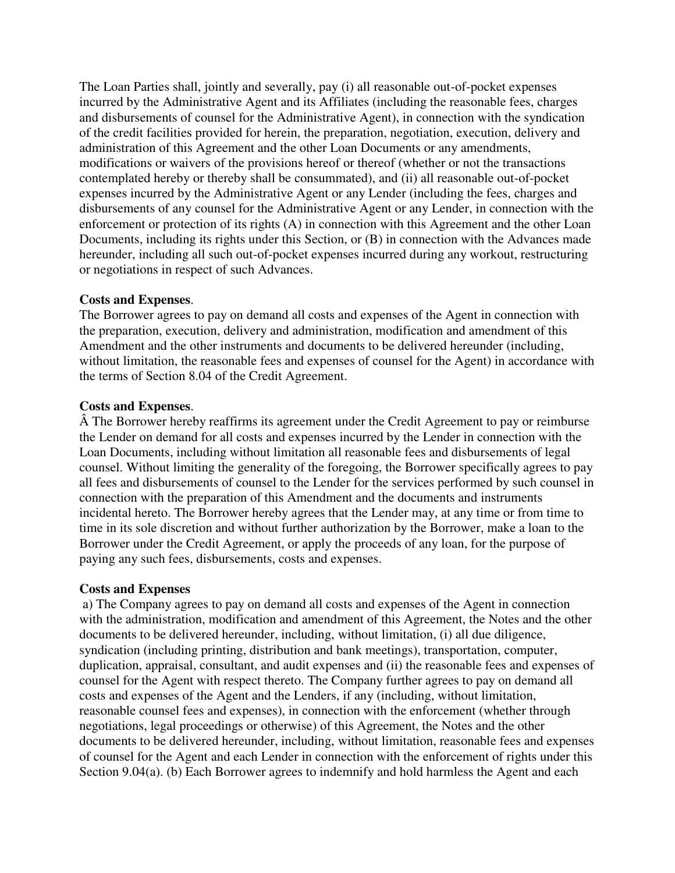The Loan Parties shall, jointly and severally, pay (i) all reasonable out-of-pocket expenses incurred by the Administrative Agent and its Affiliates (including the reasonable fees, charges and disbursements of counsel for the Administrative Agent), in connection with the syndication of the credit facilities provided for herein, the preparation, negotiation, execution, delivery and administration of this Agreement and the other Loan Documents or any amendments, modifications or waivers of the provisions hereof or thereof (whether or not the transactions contemplated hereby or thereby shall be consummated), and (ii) all reasonable out-of-pocket expenses incurred by the Administrative Agent or any Lender (including the fees, charges and disbursements of any counsel for the Administrative Agent or any Lender, in connection with the enforcement or protection of its rights (A) in connection with this Agreement and the other Loan Documents, including its rights under this Section, or (B) in connection with the Advances made hereunder, including all such out-of-pocket expenses incurred during any workout, restructuring or negotiations in respect of such Advances.

# **Costs and Expenses**.

The Borrower agrees to pay on demand all costs and expenses of the Agent in connection with the preparation, execution, delivery and administration, modification and amendment of this Amendment and the other instruments and documents to be delivered hereunder (including, without limitation, the reasonable fees and expenses of counsel for the Agent) in accordance with the terms of Section 8.04 of the Credit Agreement.

## **Costs and Expenses**.

 The Borrower hereby reaffirms its agreement under the Credit Agreement to pay or reimburse the Lender on demand for all costs and expenses incurred by the Lender in connection with the Loan Documents, including without limitation all reasonable fees and disbursements of legal counsel. Without limiting the generality of the foregoing, the Borrower specifically agrees to pay all fees and disbursements of counsel to the Lender for the services performed by such counsel in connection with the preparation of this Amendment and the documents and instruments incidental hereto. The Borrower hereby agrees that the Lender may, at any time or from time to time in its sole discretion and without further authorization by the Borrower, make a loan to the Borrower under the Credit Agreement, or apply the proceeds of any loan, for the purpose of paying any such fees, disbursements, costs and expenses.

#### **Costs and Expenses**

 a) The Company agrees to pay on demand all costs and expenses of the Agent in connection with the administration, modification and amendment of this Agreement, the Notes and the other documents to be delivered hereunder, including, without limitation, (i) all due diligence, syndication (including printing, distribution and bank meetings), transportation, computer, duplication, appraisal, consultant, and audit expenses and (ii) the reasonable fees and expenses of counsel for the Agent with respect thereto. The Company further agrees to pay on demand all costs and expenses of the Agent and the Lenders, if any (including, without limitation, reasonable counsel fees and expenses), in connection with the enforcement (whether through negotiations, legal proceedings or otherwise) of this Agreement, the Notes and the other documents to be delivered hereunder, including, without limitation, reasonable fees and expenses of counsel for the Agent and each Lender in connection with the enforcement of rights under this Section 9.04(a). (b) Each Borrower agrees to indemnify and hold harmless the Agent and each